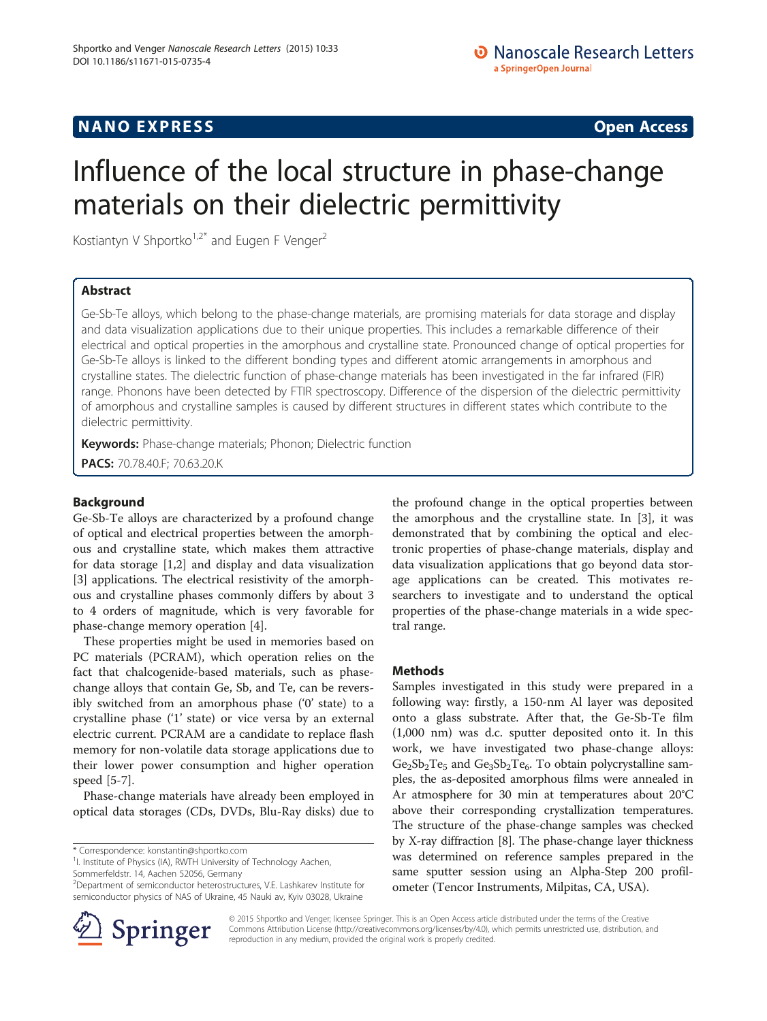## **NANO EXPRESS** Open Access and the set of the set of the set of the set of the set of the set of the set of the set of the set of the set of the set of the set of the set of the set of the set of the set of the set of the

# Influence of the local structure in phase-change materials on their dielectric permittivity

Kostiantyn V Shportko<sup>1,2\*</sup> and Eugen F Venger<sup>2</sup>

## Abstract

Ge-Sb-Te alloys, which belong to the phase-change materials, are promising materials for data storage and display and data visualization applications due to their unique properties. This includes a remarkable difference of their electrical and optical properties in the amorphous and crystalline state. Pronounced change of optical properties for Ge-Sb-Te alloys is linked to the different bonding types and different atomic arrangements in amorphous and crystalline states. The dielectric function of phase-change materials has been investigated in the far infrared (FIR) range. Phonons have been detected by FTIR spectroscopy. Difference of the dispersion of the dielectric permittivity of amorphous and crystalline samples is caused by different structures in different states which contribute to the dielectric permittivity.

Keywords: Phase-change materials; Phonon; Dielectric function PACS: 70.78.40.F; 70.63.20.K

## Background

Ge-Sb-Te alloys are characterized by a profound change of optical and electrical properties between the amorphous and crystalline state, which makes them attractive for data storage [[1,2\]](#page-3-0) and display and data visualization [[3\]](#page-3-0) applications. The electrical resistivity of the amorphous and crystalline phases commonly differs by about 3 to 4 orders of magnitude, which is very favorable for phase-change memory operation [\[4](#page-3-0)].

These properties might be used in memories based on PC materials (PCRAM), which operation relies on the fact that chalcogenide-based materials, such as phasechange alloys that contain Ge, Sb, and Te, can be reversibly switched from an amorphous phase ('0' state) to a crystalline phase ('1' state) or vice versa by an external electric current. PCRAM are a candidate to replace flash memory for non-volatile data storage applications due to their lower power consumption and higher operation speed [[5-7](#page-3-0)].

Phase-change materials have already been employed in optical data storages (CDs, DVDs, Blu-Ray disks) due to

<sup>2</sup> Department of semiconductor heterostructures, V.E. Lashkarev Institute for semiconductor physics of NAS of Ukraine, 45 Nauki av, Kyiv 03028, Ukraine



the profound change in the optical properties between the amorphous and the crystalline state. In [\[3](#page-3-0)], it was demonstrated that by combining the optical and electronic properties of phase-change materials, display and data visualization applications that go beyond data storage applications can be created. This motivates researchers to investigate and to understand the optical properties of the phase-change materials in a wide spectral range.

### Methods

Samples investigated in this study were prepared in a following way: firstly, a 150-nm Al layer was deposited onto a glass substrate. After that, the Ge-Sb-Te film (1,000 nm) was d.c. sputter deposited onto it. In this work, we have investigated two phase-change alloys:  $Ge_2Sb_2Te_5$  and  $Ge_3Sb_2Te_6$ . To obtain polycrystalline samples, the as-deposited amorphous films were annealed in Ar atmosphere for 30 min at temperatures about 20°C above their corresponding crystallization temperatures. The structure of the phase-change samples was checked by X-ray diffraction [[8\]](#page-3-0). The phase-change layer thickness was determined on reference samples prepared in the same sputter session using an Alpha-Step 200 profilometer (Tencor Instruments, Milpitas, CA, USA).

© 2015 Shportko and Venger; licensee Springer. This is an Open Access article distributed under the terms of the Creative Commons Attribution License (<http://creativecommons.org/licenses/by/4.0>), which permits unrestricted use, distribution, and reproduction in any medium, provided the original work is properly credited.

<sup>\*</sup> Correspondence: [konstantin@shportko.com](mailto:konstantin@shportko.com) <sup>1</sup>

<sup>&</sup>lt;sup>1</sup>I. Institute of Physics (IA), RWTH University of Technology Aachen, Sommerfeldstr. 14, Aachen 52056, Germany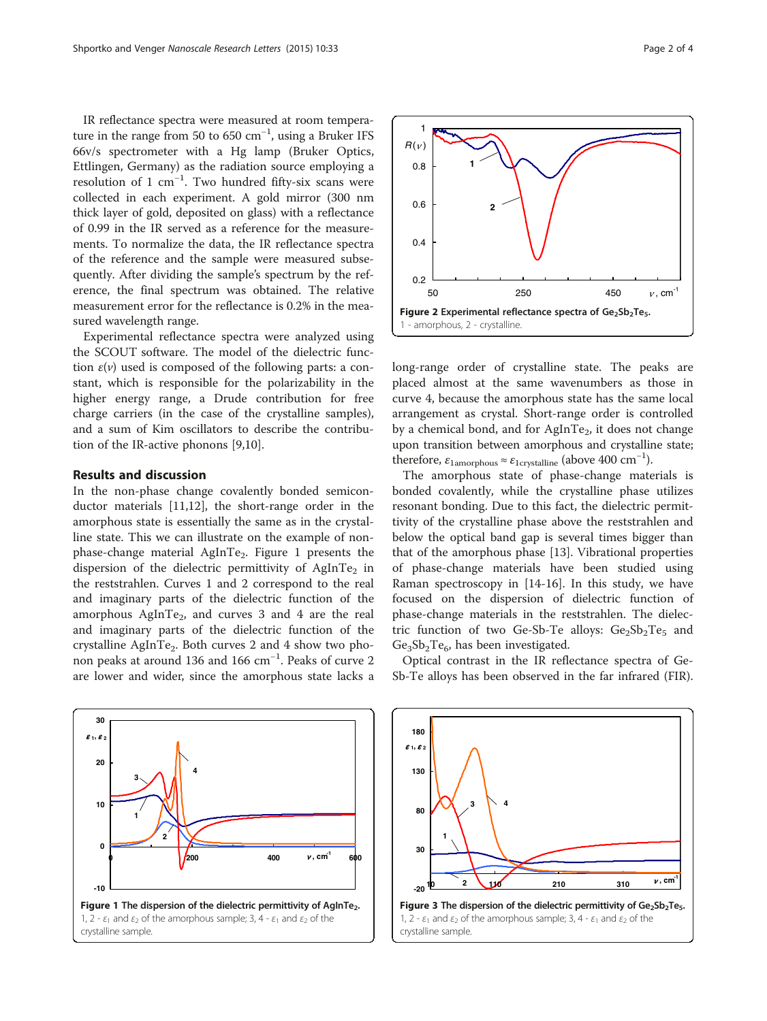<span id="page-1-0"></span>IR reflectance spectra were measured at room temperature in the range from 50 to 650 cm<sup>-1</sup>, using a Bruker IFS 66v/s spectrometer with a Hg lamp (Bruker Optics, Ettlingen, Germany) as the radiation source employing a resolution of 1 cm−<sup>1</sup> . Two hundred fifty-six scans were collected in each experiment. A gold mirror (300 nm thick layer of gold, deposited on glass) with a reflectance of 0.99 in the IR served as a reference for the measurements. To normalize the data, the IR reflectance spectra of the reference and the sample were measured subsequently. After dividing the sample's spectrum by the reference, the final spectrum was obtained. The relative measurement error for the reflectance is 0.2% in the measured wavelength range.

Experimental reflectance spectra were analyzed using the SCOUT software. The model of the dielectric function  $\varepsilon(\nu)$  used is composed of the following parts: a constant, which is responsible for the polarizability in the higher energy range, a Drude contribution for free charge carriers (in the case of the crystalline samples), and a sum of Kim oscillators to describe the contribution of the IR-active phonons [\[9,10\]](#page-3-0).

#### Results and discussion

In the non-phase change covalently bonded semiconductor materials [\[11,12](#page-3-0)], the short-range order in the amorphous state is essentially the same as in the crystalline state. This we can illustrate on the example of nonphase-change material AgInTe<sub>2</sub>. Figure 1 presents the dispersion of the dielectric permittivity of  $AgInTe<sub>2</sub>$  in the reststrahlen. Curves 1 and 2 correspond to the real and imaginary parts of the dielectric function of the amorphous  $AgInTe<sub>2</sub>$ , and curves 3 and 4 are the real and imaginary parts of the dielectric function of the crystalline AgInTe<sub>2</sub>. Both curves 2 and 4 show two phonon peaks at around 136 and 166 cm−<sup>1</sup> . Peaks of curve 2 are lower and wider, since the amorphous state lacks a



long-range order of crystalline state. The peaks are placed almost at the same wavenumbers as those in curve 4, because the amorphous state has the same local arrangement as crystal. Short-range order is controlled by a chemical bond, and for  $AgInTe<sub>2</sub>$ , it does not change upon transition between amorphous and crystalline state; therefore,  $\varepsilon$ <sub>1amorphous</sub> ≈  $\varepsilon$ <sub>1crystalline</sub> (above 400 cm<sup>-1</sup>).

The amorphous state of phase-change materials is bonded covalently, while the crystalline phase utilizes resonant bonding. Due to this fact, the dielectric permittivity of the crystalline phase above the reststrahlen and below the optical band gap is several times bigger than that of the amorphous phase [\[13\]](#page-3-0). Vibrational properties of phase-change materials have been studied using Raman spectroscopy in [[14](#page-3-0)-[16\]](#page-3-0). In this study, we have focused on the dispersion of dielectric function of phase-change materials in the reststrahlen. The dielectric function of two Ge-Sb-Te alloys:  $Ge_2Sb_2Te_5$  and  $Ge_3Sb_2Te_6$ , has been investigated.

Optical contrast in the IR reflectance spectra of Ge-Sb-Te alloys has been observed in the far infrared (FIR).



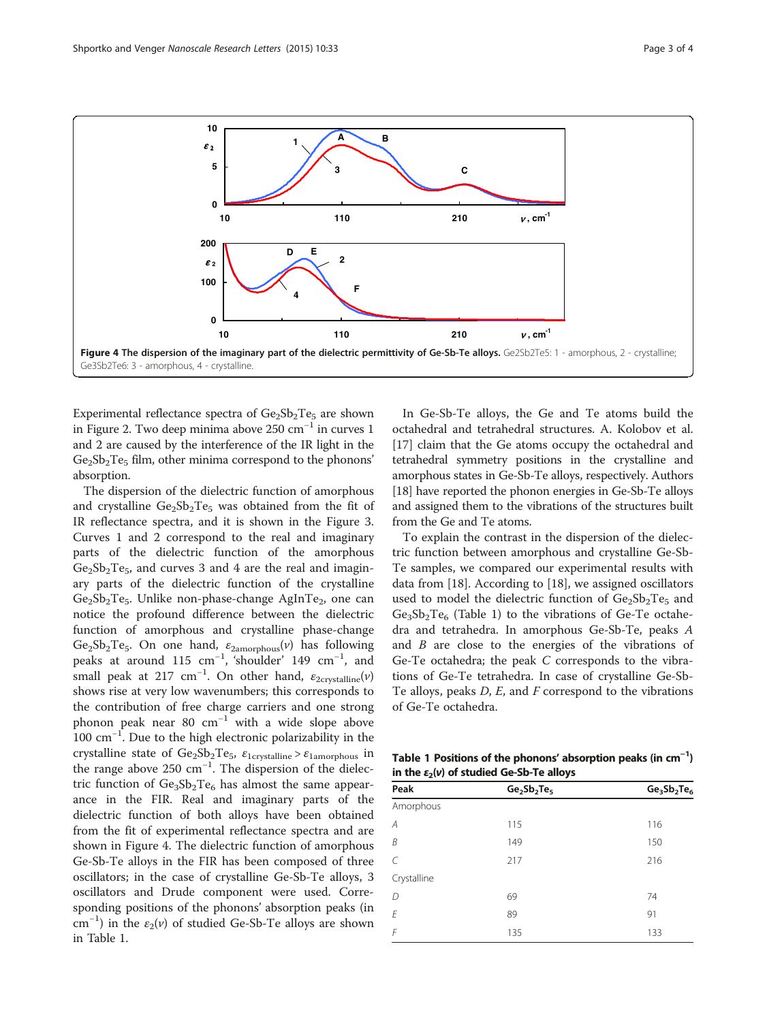

Experimental reflectance spectra of  $Ge_2Sb_2Te_5$  are shown in Figure [2](#page-1-0). Two deep minima above 250 cm−<sup>1</sup> in curves 1 and 2 are caused by the interference of the IR light in the  $Ge_2Sb_2Te_5$  film, other minima correspond to the phonons' absorption.

The dispersion of the dielectric function of amorphous and crystalline  $Ge_2Sb_2Te_5$  was obtained from the fit of IR reflectance spectra, and it is shown in the Figure [3](#page-1-0). Curves 1 and 2 correspond to the real and imaginary parts of the dielectric function of the amorphous  $Ge_2Sb_2Te_5$ , and curves 3 and 4 are the real and imaginary parts of the dielectric function of the crystalline  $Ge_2Sb_2Te_5$ . Unlike non-phase-change AgInTe<sub>2</sub>, one can notice the profound difference between the dielectric function of amorphous and crystalline phase-change  $Ge_2Sb_2Te_5$ . On one hand,  $\varepsilon_{2amorphous}(\nu)$  has following peaks at around 115 cm<sup>-1</sup>, 'shoulder' 149 cm<sup>-1</sup>, and small peak at 217 cm<sup>-1</sup>. On other hand,  $\varepsilon$ <sub>2crystalline</sub>(v) shows rise at very low wavenumbers; this corresponds to the contribution of free charge carriers and one strong phonon peak near 80 cm−<sup>1</sup> with a wide slope above 100 cm−<sup>1</sup> . Due to the high electronic polarizability in the crystalline state of  $Ge_2Sb_2Te_5$ ,  $\varepsilon_{1crvstalline} > \varepsilon_{1amorphous}$  in the range above 250 cm−<sup>1</sup> . The dispersion of the dielectric function of  $\text{Ge}_3\text{Sb}_2\text{Te}_6$  has almost the same appearance in the FIR. Real and imaginary parts of the dielectric function of both alloys have been obtained from the fit of experimental reflectance spectra and are shown in Figure 4. The dielectric function of amorphous Ge-Sb-Te alloys in the FIR has been composed of three oscillators; in the case of crystalline Ge-Sb-Te alloys, 3 oscillators and Drude component were used. Corresponding positions of the phonons' absorption peaks (in cm<sup>-1</sup>) in the  $\varepsilon_2(v)$  of studied Ge-Sb-Te alloys are shown in Table 1.

In Ge-Sb-Te alloys, the Ge and Te atoms build the octahedral and tetrahedral structures. A. Kolobov et al. [[17\]](#page-3-0) claim that the Ge atoms occupy the octahedral and tetrahedral symmetry positions in the crystalline and amorphous states in Ge-Sb-Te alloys, respectively. Authors [[18](#page-3-0)] have reported the phonon energies in Ge-Sb-Te alloys and assigned them to the vibrations of the structures built from the Ge and Te atoms.

To explain the contrast in the dispersion of the dielectric function between amorphous and crystalline Ge-Sb-Te samples, we compared our experimental results with data from [[18](#page-3-0)]. According to [\[18\]](#page-3-0), we assigned oscillators used to model the dielectric function of  $Ge_2Sb_2Te_5$  and  $Ge_3Sb_2Te_6$  (Table 1) to the vibrations of Ge-Te octahedra and tetrahedra. In amorphous Ge-Sb-Te, peaks A and B are close to the energies of the vibrations of Ge-Te octahedra; the peak C corresponds to the vibrations of Ge-Te tetrahedra. In case of crystalline Ge-Sb-Te alloys, peaks  $D$ ,  $E$ , and  $F$  correspond to the vibrations of Ge-Te octahedra.

Table 1 Positions of the phonons' absorption peaks (in  $cm^{-1}$ ) in the  $\varepsilon_2(v)$  of studied Ge-Sb-Te alloys

| Peak        | $Ge_2Sb_2Te_5$ | $Ge_3Sb_2Te_6$ |
|-------------|----------------|----------------|
| Amorphous   |                |                |
| A           | 115            | 116            |
| B           | 149            | 150            |
| C           | 217            | 216            |
| Crystalline |                |                |
| D           | 69             | 74             |
| E           | 89             | 91             |
| F           | 135            | 133            |